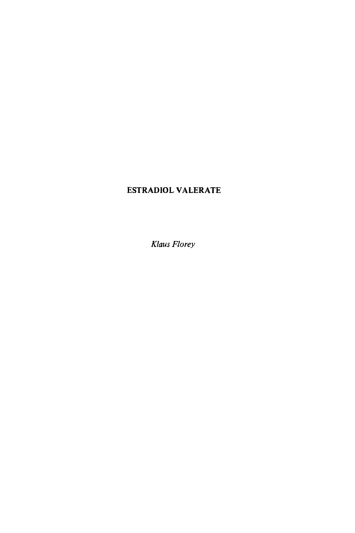## **ESTRADIOL VALERATE**

*Klaus Florey*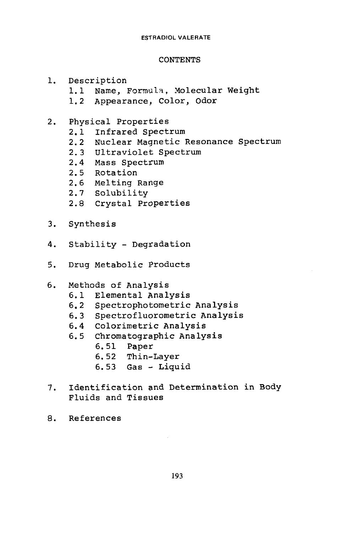### **CONTENTS**

- 1. Description
	- 1.1 Name, Formula, Molecular Weight
	- 1.2 Appearance, Color, odor
- 2. Physical Properties<br>2.1 Infrared Spect
	- 2.1 Infrared Spectrum
	- 2.2 Nuclear Magnetic Resonance Spectrum
	- 2.3 Ultraviolet Spectrum
	- 2.4 Mass Spectrum
	- 2.5 Rotation
	- 2.6 Melting Range
	- 2.7 Solubility
	- 2.8 Crystal Properties
- 3. Synthesis
- **4.** Stability Degradation
- 5. Drug Metabolic Products
- *6.* Methods of Analysis
	- 6.1 Elemental Analysis
	- 6.2 Spectrophotometric Analysis
	- 6.3 Spectrofluorometric Analysis
	- 6.4 Colorimetric Analysis
	- 6.5 Chromatographic Analysis
		- 6.51 Paper
		- 6.52 Thin-Layer
		- 6.53 Gas Liquid
- 7. Identification and Determination in Body Fluids and Tissues
- 8. References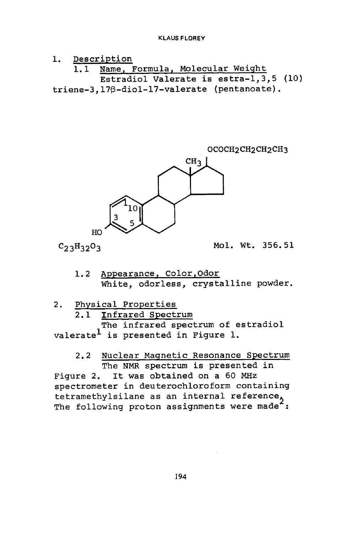### 1. Description 1.1 Name, Formula, Molecular Weight Estradiol Valerate is estra-l,3,5 (10) **triene-3,17p-diol-17-valerate** (pentanoate).



 $C_{23}H_{32}O_3$  Mol. Wt. 356.51

1.2 Appearance, Color,Odor White, odorless, crystalline powder.

2. Physical Properties

2.1 Infrared Spectrum

The infrared spectrum of estradiol valerate<sup>l</sup> is presented in Figure 1.

# 2.2 Nuclear Magnetic Resonance Spectrum The NMR spectrum is presented in

Figure 2. It was obtained on a 60 **MHz**  spectrometer in deuterochloroform containing tetramethylsilane as an internal reference tetramethylsilane as an internal reference,<br>The following proton assignments were made :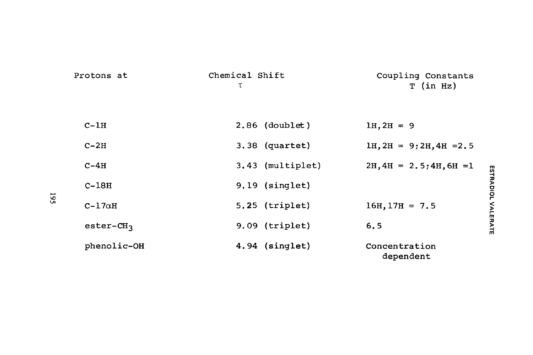|     | Protons at            | Chemical Shift<br>τ | Coupling Constants<br>$T$ (in Hz)      |  |
|-----|-----------------------|---------------------|----------------------------------------|--|
|     | $C-1H$                | $2.86$ (doublet)    | $1H, 2H = 9$                           |  |
|     | $C-2H$                | 3.38 (quartet)      | $1H$ , $2H = 9$ ; $2H$ , $4H = 2.5$    |  |
|     | $C-4H$                | 3.43 (multiplet)    | $2H, 4H = 2.5; 4H, 6H = 1$             |  |
| 195 | $C-18H$               | $9.19$ (singlet)    |                                        |  |
|     | $C-17\alpha H$        | $5.25$ (triplet)    | ESTRADIOL VALERATE<br>$16H, 17H = 7.5$ |  |
|     | $\texttt{ester-CH}_3$ | $9.09$ (triplet)    | 6.5                                    |  |
|     | phenolic-OH           | 4.94 (singlet)      | Concentration<br>dependent             |  |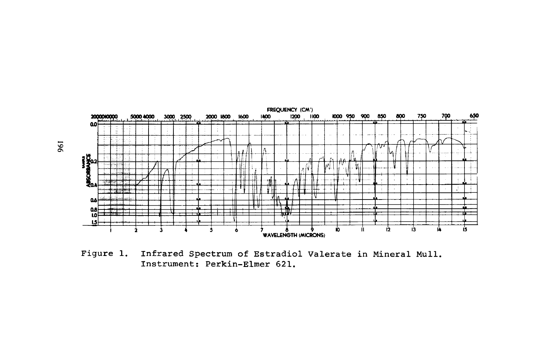

**Figure 1. Infrared Spectrum of Estradiol Valerate in Mineral Mull. Instrument: Perkin-Elmer 621.**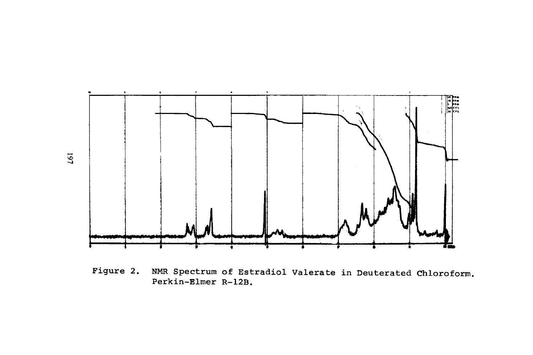

Figure 2. **NMR** Spectrum of Estradiol Valerate in Deuterated Chloroform. Perkin-Elmer **R-12B.**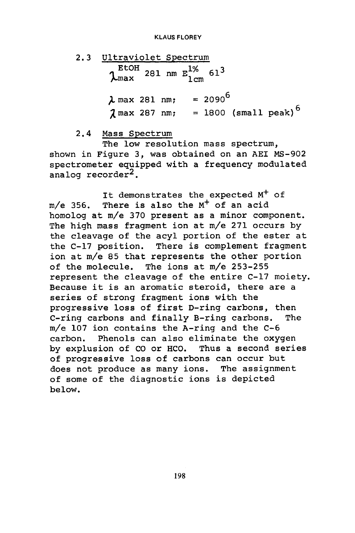2.3 Utraviolet Spectrum  
\n
$$
\lambda_{\text{max}}
$$
 281 nm  $E_{1\text{cm}}^{1\%}$  61<sup>3</sup>  
\n $\lambda$  max 281 nm; = 2090<sup>6</sup>  
\n $\lambda$  max 287 nm; = 1800 (small peak)<sup>6</sup>

2.4 Mass Spectrum

The low resolution mass spectrum, shown in Figure **3,** was obtained on an **AEI** MS-902 spectrometer equipped with a frequency modulated<br>analog recorder<sup>2</sup>.

It demonstrates the expected  $M^+$  of m/e **356.** There is also the M+ of an acid homolog at m/e 370 present as a minor component. The high mass fragment ion at m/e 271 occurs by the cleavage of the acyl portion of the ester at the **C-17** position. There is complement fragment ion at m/e **85** that represents the other portion of the molecule. The ions at m/e **253-255**  represent the cleavage of the entire C-17 moiety. Because it is an aromatic steroid, there are a series of strong fragment ions with the progressive **loss** of first D-ring carbons, then C-ring carbons and finally B-ring carbons, The m/e 107 ion contains the A-ring and the C-6 carbon. Phenols can also eliminate the oxygen by explusion of CO or HCO. Thus a second series of progressive **loss** of carbons can occur but does not produce as many ions. The assignment of some of the diagnostic ions is depicted below.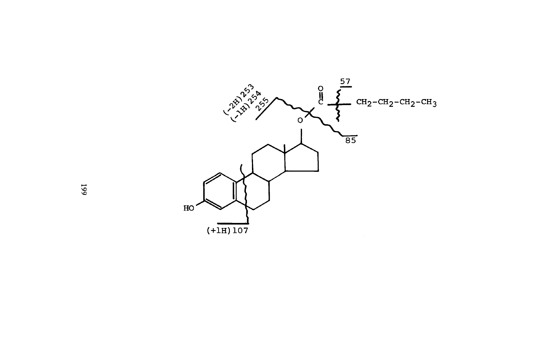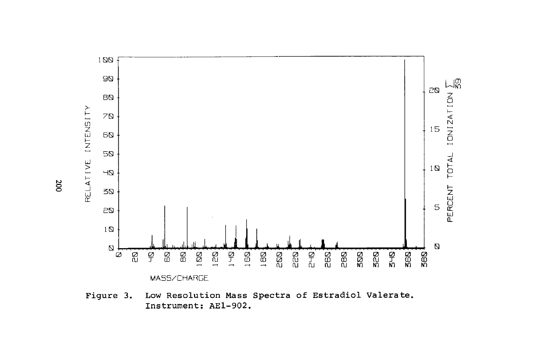

Figure **3.** Low Resolution **Mass** Spectra of Estradiol Valerate. Instrument: **AE1-902.** 

*0*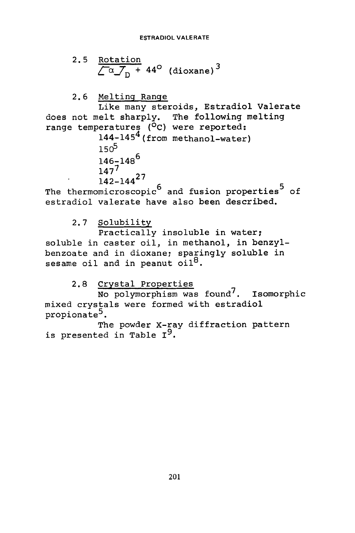2.5 Rotation  

$$
\sqrt{\alpha} \cdot \frac{1}{n} + 44^{\circ}
$$
 (dioxane)<sup>3</sup>

2.6 Melting Ranqe

Like many steroids, Estradiol Valerate does not melt sharply. The following melting range temperatures (<sup>O</sup>C) were reported:<br>144-145<sup>4</sup> (from methanol-water)

 $150^5$ 146-148<sup>6</sup>  $147^{7}$ 142-1442

The thermomicroscopic<sup>6</sup> and fusion properties<sup>5</sup> of estradiol valerate have also been described.

2.7 Solubility

Practically insoluble in water; soluble in caster oil, in methanol, in benzylbenzoate and in dioxane; sparingly soluble in sesame oil and in peanut oil<sup>8</sup>.

2.8 Crystal Properties

No polymorphism was found7. Isomorphic mixed crystals were formed with estradiol<br>propionate<sup>5</sup>.

The powder X-ray diffraction pattern is presented in Table **1'.**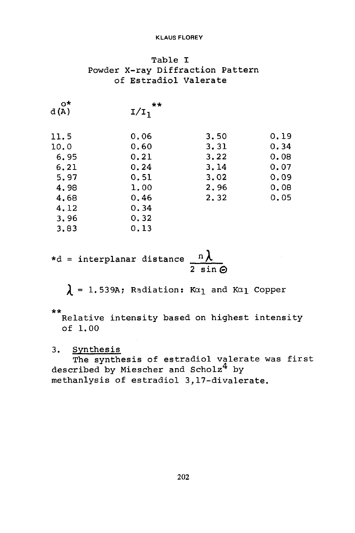### Table I Powder X-ray Diffraction Pattern of Estradiol Valerate

| o*<br>d(A) | $+ +$<br>$I/I_1$ |      |      |
|------------|------------------|------|------|
| 11.5       | 0.06             | 3.50 | 0.19 |
| 10.0       | 0.60             | 3.31 | 0.34 |
| 6.95       | 0, 21            | 3.22 | 0.08 |
| 6.21       | 0.24             | 3.14 | 0.07 |
| 5.97       | 0.51             | 3.02 | 0.09 |
| 4.98       | 1.00             | 2.96 | 0.08 |
| 4.68       | 0.46             | 2,32 | 0.05 |
| 4,12       | 0.34             |      |      |
| 3,96       | 0.32             |      |      |
| 3.83       | 0.13             |      |      |
|            |                  |      |      |

 $*d =$  interplanar distance  $\frac{n\lambda}{\lambda}$ 2 sin@

 $\lambda = 1.539$ A; Radiation: Ka<sub>l</sub> and Ka<sub>l</sub> Copper

\*\*

Relative intensity based on highest intensity of 1.00

### 3. Synthesis

described by Miescher and Scholz<sup>4</sup> by methanlysis of estradiol 3,17-divalerate. The synthesis of estradiol valerate was first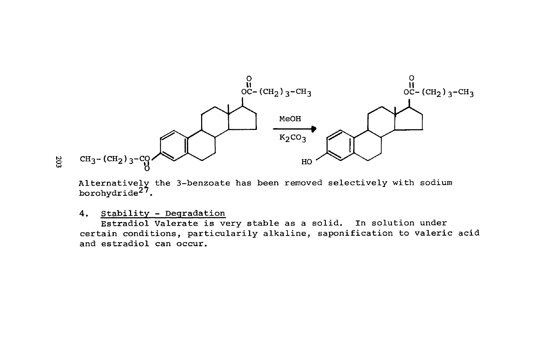![](_page_11_Figure_0.jpeg)

Alternatively the 3-benzoate has been removed selectively with sodium borohydride<sup>27</sup>.

**4. Stability** - **Degradation** 

**certain conditions, particularily alkaline, saponification to valeric acid and estradiol can occur. Estradiol Valerate is very stable as a solid. In solution under**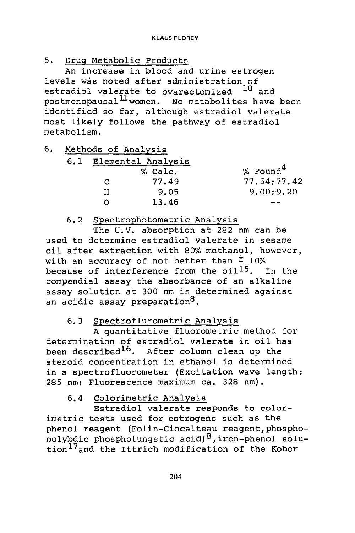5. Druq Metabolic Products

levels was noted after administration of estradiol valerate to ovarectomized <sup>10</sup> and postmenopausal<sup>II</sup> women. No metabolites have been identified so far, although estradiol valerate most likely follows the pathway of estradiol metabolism. An increase in blood and urine estrogen

6. Methods of Analysis

| Elemental Analysis |         |              |  |
|--------------------|---------|--------------|--|
|                    | % Calc. | % Found $^4$ |  |
| с                  | 77.49   | 77.54:77.42  |  |
| н                  | 9.05    | 9.00; 9.20   |  |
|                    | 13.46   |              |  |
|                    |         |              |  |

### 6.2 Spectrophotometric Analysis

The **U.V.** absorption at 282 nm can be used to determine estradiol valerate in sesame oil after extraction with 80% methanol, however, with an accuracy of not better than  $\pm$  10% because of interference from the  $oil<sup>15</sup>$ . In the compendia1 assay the absorbance of an alkaline assay solution at 300 nm is determined against an acidic assay preparation<sup>8</sup>.

## *6.3* Spectroflurometric Analysis

A quantitative fluorometric method for determination of estradiol valerate in oil has been described<sup>16</sup>. After column clean up the steroid concentration in ethanol is determined in a spectrofluorometer (Excitation wave length: 285 nm: Fluorescence maximum ca. 328 nm).

## 6.4 Colorimetric Analysis

Estradiol valerate responds to colorimetric tests used for estrogens such as the phenol reagent (Folin-Ciocalteau reagent,phosphomolybdic phosphotungstic acid) \*, iron-phenol **solu**tion<sup>17</sup>and the Ittrich modification of the Kober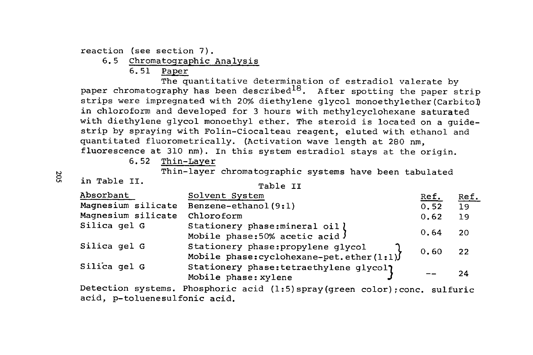reaction (see section 7).

- 6.5 Chromatographic Analysis
	- 6.51 Paper

The quantitative determination of estradiol valerate by paper chromatography has been described<sup>18</sup>. After spotting the paper strip strips were impregnated with 20% diethylene glycol **monoethylether(Carbitol)**  in chloroform and developed for **3** hours with methylcyclohexane saturated with diethylene glycol monoethyl ether. The steroid is located on a guidestrip by spraying with Folin-Ciocalteau reagent, eluted with ethanol and quantitated fluorometrically. (Activation wave length at 280 nm, fluorescence at 310 nm). In this system estradiol stays at the origin.

6.52 Thin-Layer

<sup>2</sup> <sup>Thin-layer chromatographic systems have been tabulated<br><sup>5</sup> **in Table II.** Table II</sup>

| Absorbant          | Solvent System                                                                     | <u>Ref.</u> | <u>Ref.</u> |
|--------------------|------------------------------------------------------------------------------------|-------------|-------------|
| Magnesium silicate | Benzene-ethanol (9:1)                                                              | 0.52        | 19          |
| Magnesium silicate | Chloroform                                                                         | 0.62        | -19         |
| Silica gel G       | Stationery phase: mineral oil )<br>Mobile phase: 50% acetic acid J                 | 0.64        | -20         |
| Silica gel G       | Stationery phase: propylene qlycol<br>Mobile phase: cyclohexane-pet. ether $(1:1)$ | 0.60        | 22          |
| Silica gel G       | Stationery phase: tetraethylene glycol?<br>Mobile phase: xylene                    |             | 24          |

Detection systems. Phosphoric acid (1:5) spray (green color); conc. sulfuric acid, p-toluenesulfonic acid.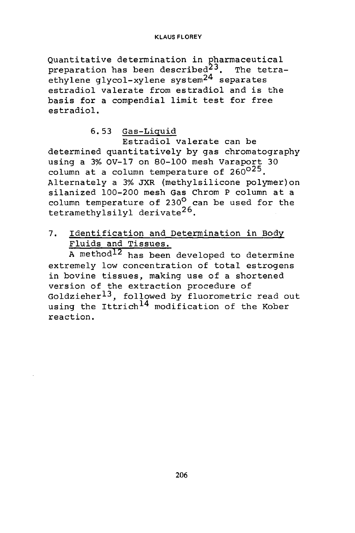Quantitative determination in pharmaceutical ethylene glycol-xylene system<sup>24</sup> separates estradiol valerate from estradiol and is the basis for a compendia1 limit test for free estradiol. preparation has been described $23$ . The tetra-

### 6.53 Gas-Liquid

Estradiol valerate can be determined quantitatively by gas chromatography using a 3% OV-17 on 80-100 mesh Varaport 30 asing a 3% OV-17 On 80-100 mesh varapores<br>column at a column temperature of 260<sup>025</sup>.<br>Alternately a 3% JXR (methylsilicone polymer)on silanized 100-200 mesh Gas Chrom P column at a column temperature of  $230^\circ$  can be used for the tetramethylsilyl derivate26.

## 7. Identification and Determination in Body Fluids and Tissues.

A method12 has been developed to determine extremely **low** concentration of total estrogens in bovine tissues, making use of a shortened version of the extraction procedure of Goldzieher $^{13}$ , followed by fluorometric read out using the Ittrich<sup>14</sup> modification of the Kober reaction.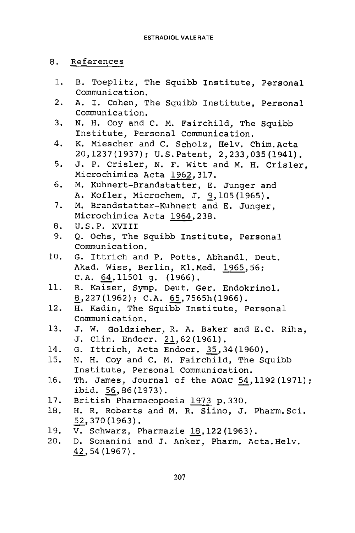### 8. References

- 1. B. Toeplitz, The Squibb Institute, Personal Communication.
- 2. A. I. Cohen, The Squibb Institute, Personal Communication.
- 3. N. H. Coy and C. M. Fairchild, The Squibb Institute, Personal Communication.
- 4. K. Miescher and C. Scholz, Helv. Chim.Acta 20,1237(1937): U.S.Patent, 2,233,035 (1941).
- 5. J. P. Crisler, N. F. Witt and M. H. Crisler, Microchimica Acta 1962,317.
- 6. M. Kuhnert-Brandstatter, E. Junger and A. Kofler, Microchem. J. 9,105 (1965).
- 7. M. Brandstatter-Kuhnert and E. Junger, Microchimica Acta 1964,238.
- 8. U.S.P. XVIII
- 9. Q. Ochs, The Squibb Institute, Personal Communication.
- 10. G. Ittrich and P. Potts, Abhandl. Deut. Akad. Wiss, Berlin, K1.Med. 1965,56; C.A. 64,11501 *4.* (1966).
- **11.**  R. Kaiser, Symp. Deut. Ger. Endokrinol.<br><u>8</u>,227(1962); C.A. 65,7565h(1966).
- 12. H. Kadin, The Squibb Institute, Personal Communication.
- 13. J. W. Goldzieher, R. A. Baker and E.C. Riha, J. Clin. Endocr. 2l,62 (1961).
- 14. G. Ittrich, Acta Endocr. 35,34 (1960).
- 15. N. H. Coy and C. M. Fairchild, The Squibb Institute, Personal Communication.
- 16. Th. James, Journal of the AOAC 54,1192 (1971) : ibid. 56,86 (1973).
- 17. British Pharmacopoeia 1973 p. 330.
- 18. H. R. Roberts and M. R. Siino, J. Pharm.Sci. - 52,370 (1963).
- 19.
- 20. <u>92</u>,370(1963).<br>V. Schwarz, Pharmazie <u>18</u>,122(1963).<br>D. Sonanini and J. Anker, Pharm. Act<br>4<u>2</u>,54(1967). D. Sonanini and J. Anker, Pharm. Acta. Helv.<br>42,54(1967).